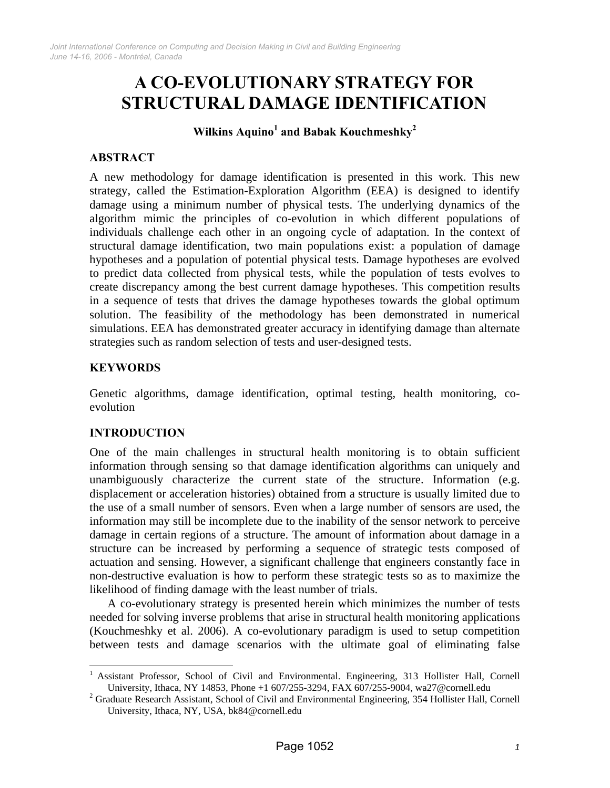# **A CO-EVOLUTIONARY STRATEGY FOR STRUCTURAL DAMAGE IDENTIFICATION**

 $\textbf{Wilkins} \ \textbf{Aquino}^1 \ \textbf{and} \ \textbf{Babak} \ \textbf{Kouchmeshky}^2$ 

## **ABSTRACT**

A new methodology for damage identification is presented in this work. This new strategy, called the Estimation-Exploration Algorithm (EEA) is designed to identify damage using a minimum number of physical tests. The underlying dynamics of the algorithm mimic the principles of co-evolution in which different populations of individuals challenge each other in an ongoing cycle of adaptation. In the context of structural damage identification, two main populations exist: a population of damage hypotheses and a population of potential physical tests. Damage hypotheses are evolved to predict data collected from physical tests, while the population of tests evolves to create discrepancy among the best current damage hypotheses. This competition results in a sequence of tests that drives the damage hypotheses towards the global optimum solution. The feasibility of the methodology has been demonstrated in numerical simulations. EEA has demonstrated greater accuracy in identifying damage than alternate strategies such as random selection of tests and user-designed tests.

## **KEYWORDS**

Genetic algorithms, damage identification, optimal testing, health monitoring, coevolution

## **INTRODUCTION**

 $\overline{a}$ 

One of the main challenges in structural health monitoring is to obtain sufficient information through sensing so that damage identification algorithms can uniquely and unambiguously characterize the current state of the structure. Information (e.g. displacement or acceleration histories) obtained from a structure is usually limited due to the use of a small number of sensors. Even when a large number of sensors are used, the information may still be incomplete due to the inability of the sensor network to perceive damage in certain regions of a structure. The amount of information about damage in a structure can be increased by performing a sequence of strategic tests composed of actuation and sensing. However, a significant challenge that engineers constantly face in non-destructive evaluation is how to perform these strategic tests so as to maximize the likelihood of finding damage with the least number of trials.

A co-evolutionary strategy is presented herein which minimizes the number of tests needed for solving inverse problems that arise in structural health monitoring applications (Kouchmeshky et al. 2006). A co-evolutionary paradigm is used to setup competition between tests and damage scenarios with the ultimate goal of eliminating false

<sup>1</sup> Assistant Professor, School of Civil and Environmental. Engineering, 313 Hollister Hall, Cornell University, Ithaca, NY 14853, Phone +1 607/255-3294, FAX 607/255-9004, wa27@cornell.edu 2

<sup>&</sup>lt;sup>2</sup> Graduate Research Assistant, School of Civil and Environmental Engineering, 354 Hollister Hall, Cornell University, Ithaca, NY, USA, bk84@cornell.edu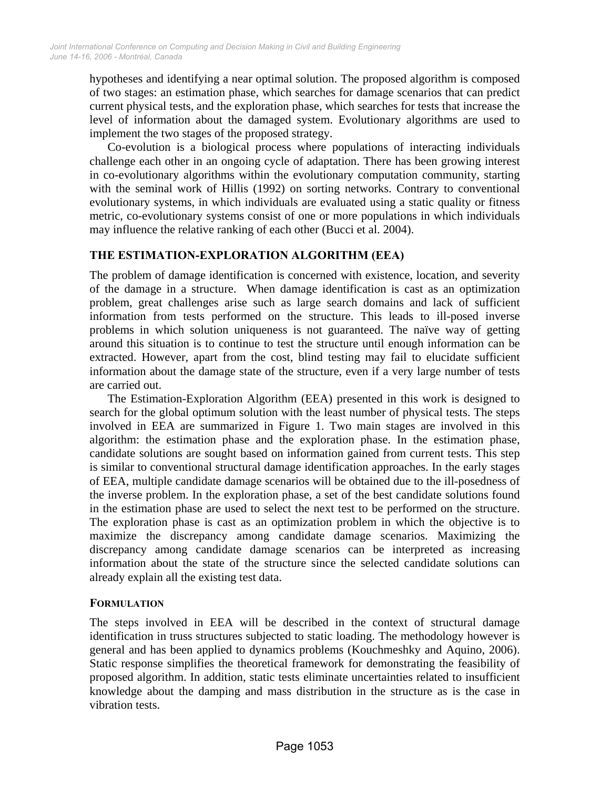hypotheses and identifying a near optimal solution. The proposed algorithm is composed of two stages: an estimation phase, which searches for damage scenarios that can predict current physical tests, and the exploration phase, which searches for tests that increase the level of information about the damaged system. Evolutionary algorithms are used to implement the two stages of the proposed strategy.

Co-evolution is a biological process where populations of interacting individuals challenge each other in an ongoing cycle of adaptation. There has been growing interest in co-evolutionary algorithms within the evolutionary computation community, starting with the seminal work of Hillis (1992) on sorting networks. Contrary to conventional evolutionary systems, in which individuals are evaluated using a static quality or fitness metric, co-evolutionary systems consist of one or more populations in which individuals may influence the relative ranking of each other (Bucci et al. 2004).

# **THE ESTIMATION-EXPLORATION ALGORITHM (EEA)**

The problem of damage identification is concerned with existence, location, and severity of the damage in a structure. When damage identification is cast as an optimization problem, great challenges arise such as large search domains and lack of sufficient information from tests performed on the structure. This leads to ill-posed inverse problems in which solution uniqueness is not guaranteed. The naïve way of getting around this situation is to continue to test the structure until enough information can be extracted. However, apart from the cost, blind testing may fail to elucidate sufficient information about the damage state of the structure, even if a very large number of tests are carried out.

The Estimation-Exploration Algorithm (EEA) presented in this work is designed to search for the global optimum solution with the least number of physical tests. The steps involved in EEA are summarized in Figure 1. Two main stages are involved in this algorithm: the estimation phase and the exploration phase. In the estimation phase, candidate solutions are sought based on information gained from current tests. This step is similar to conventional structural damage identification approaches. In the early stages of EEA, multiple candidate damage scenarios will be obtained due to the ill-posedness of the inverse problem. In the exploration phase, a set of the best candidate solutions found in the estimation phase are used to select the next test to be performed on the structure. The exploration phase is cast as an optimization problem in which the objective is to maximize the discrepancy among candidate damage scenarios. Maximizing the discrepancy among candidate damage scenarios can be interpreted as increasing information about the state of the structure since the selected candidate solutions can already explain all the existing test data.

## **FORMULATION**

The steps involved in EEA will be described in the context of structural damage identification in truss structures subjected to static loading. The methodology however is general and has been applied to dynamics problems (Kouchmeshky and Aquino, 2006). Static response simplifies the theoretical framework for demonstrating the feasibility of proposed algorithm. In addition, static tests eliminate uncertainties related to insufficient knowledge about the damping and mass distribution in the structure as is the case in vibration tests.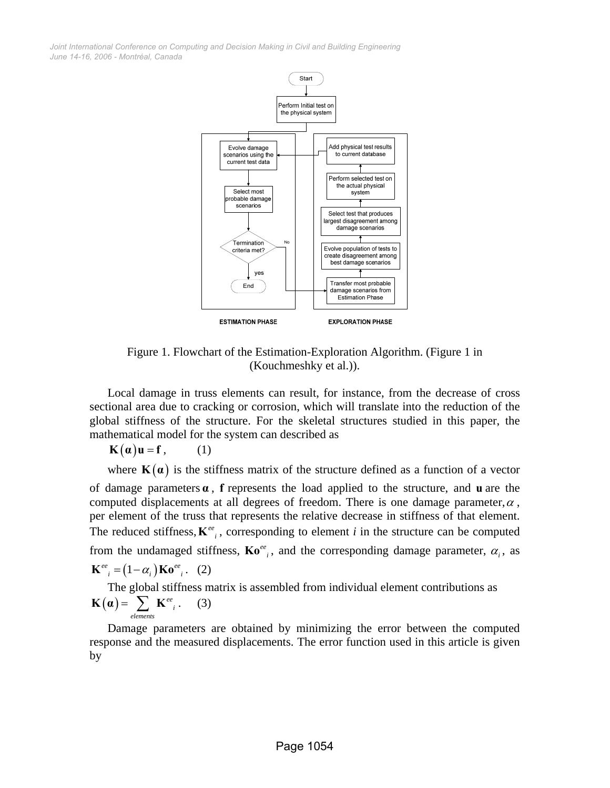

Figure 1. Flowchart of the Estimation-Exploration Algorithm. (Figure 1 in (Kouchmeshky et al.)).

Local damage in truss elements can result, for instance, from the decrease of cross sectional area due to cracking or corrosion, which will translate into the reduction of the global stiffness of the structure. For the skeletal structures studied in this paper, the mathematical model for the system can described as

 $\mathbf{K}(\alpha)\mathbf{u} = \mathbf{f}$ , (1)

where  $K(\alpha)$  is the stiffness matrix of the structure defined as a function of a vector of damage parameters **α** , **f** represents the load applied to the structure, and **u** are the computed displacements at all degrees of freedom. There is one damage parameter,  $\alpha$ , per element of the truss that represents the relative decrease in stiffness of that element. The reduced stiffness,  $K^{ee}$ , corresponding to element *i* in the structure can be computed from the undamaged stiffness,  $\mathbf{K}o^{ee}$ , and the corresponding damage parameter,  $\alpha_i$ , as  $\mathbf{K}^{ee}$ <sub>i</sub> =  $(1-\alpha)$ **Ko**<sup>ee</sup><sub>i</sub>. (2)

The global stiffness matrix is assembled from individual element contributions as  $\left( \boldsymbol{\alpha}\right) =\sum\ \mathbf{K}^{ee}{}_{i}$  $\mathbf{K}(\boldsymbol{\alpha}) = \sum_{elements} \mathbf{K}^{ee}$  . (3)

Damage parameters are obtained by minimizing the error between the computed response and the measured displacements. The error function used in this article is given by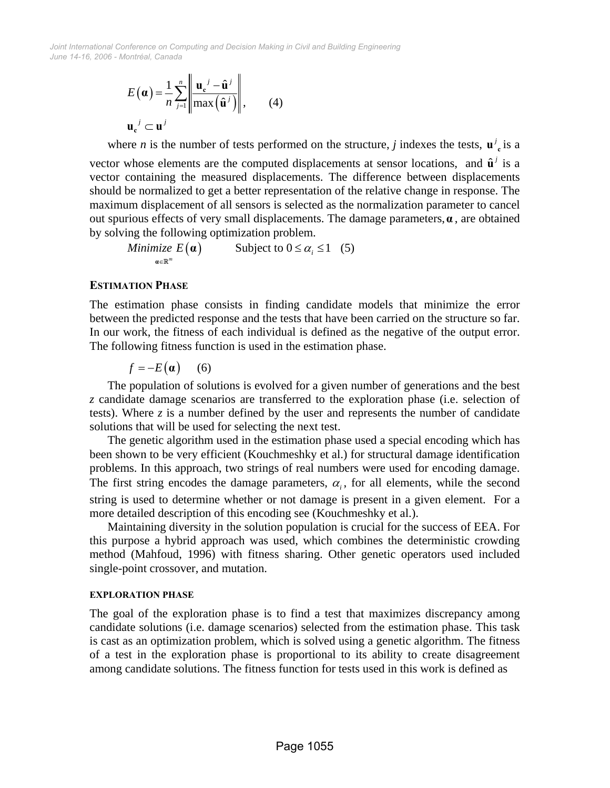$$
E(\boldsymbol{\alpha}) = \frac{1}{n} \sum_{j=1}^{n} \left\| \frac{\mathbf{u}_{c}^{j} - \hat{\mathbf{u}}^{j}}{\max(\hat{\mathbf{u}}^{j})} \right\|, \qquad (4)
$$

$$
\mathbf{u}_{c}^{j} \subset \mathbf{u}^{j}
$$

where *n* is the number of tests performed on the structure, *j* indexes the tests,  $\mathbf{u}^j$  is a vector whose elements are the computed displacements at sensor locations, and  $\hat{\mathbf{u}}^j$  is a vector containing the measured displacements. The difference between displacements should be normalized to get a better representation of the relative change in response. The maximum displacement of all sensors is selected as the normalization parameter to cancel out spurious effects of very small displacements. The damage parameters,**α** , are obtained by solving the following optimization problem.

 $Minimize E(\boldsymbol{\alpha})$  Subject to  $0 \le \alpha_i \le 1$ ∈  $\leq \alpha_{i} \leq$ **α α R** (5)

## **ESTIMATION PHASE**

The estimation phase consists in finding candidate models that minimize the error between the predicted response and the tests that have been carried on the structure so far. In our work, the fitness of each individual is defined as the negative of the output error. The following fitness function is used in the estimation phase.

$$
f = -E(\mathbf{a}) \qquad (6)
$$

The population of solutions is evolved for a given number of generations and the best *z* candidate damage scenarios are transferred to the exploration phase (i.e. selection of tests). Where *z* is a number defined by the user and represents the number of candidate solutions that will be used for selecting the next test.

The genetic algorithm used in the estimation phase used a special encoding which has been shown to be very efficient (Kouchmeshky et al.) for structural damage identification problems. In this approach, two strings of real numbers were used for encoding damage. The first string encodes the damage parameters,  $\alpha_i$ , for all elements, while the second string is used to determine whether or not damage is present in a given element. For a more detailed description of this encoding see (Kouchmeshky et al.).

Maintaining diversity in the solution population is crucial for the success of EEA. For this purpose a hybrid approach was used, which combines the deterministic crowding method (Mahfoud, 1996) with fitness sharing. Other genetic operators used included single-point crossover, and mutation.

#### **EXPLORATION PHASE**

The goal of the exploration phase is to find a test that maximizes discrepancy among candidate solutions (i.e. damage scenarios) selected from the estimation phase. This task is cast as an optimization problem, which is solved using a genetic algorithm. The fitness of a test in the exploration phase is proportional to its ability to create disagreement among candidate solutions. The fitness function for tests used in this work is defined as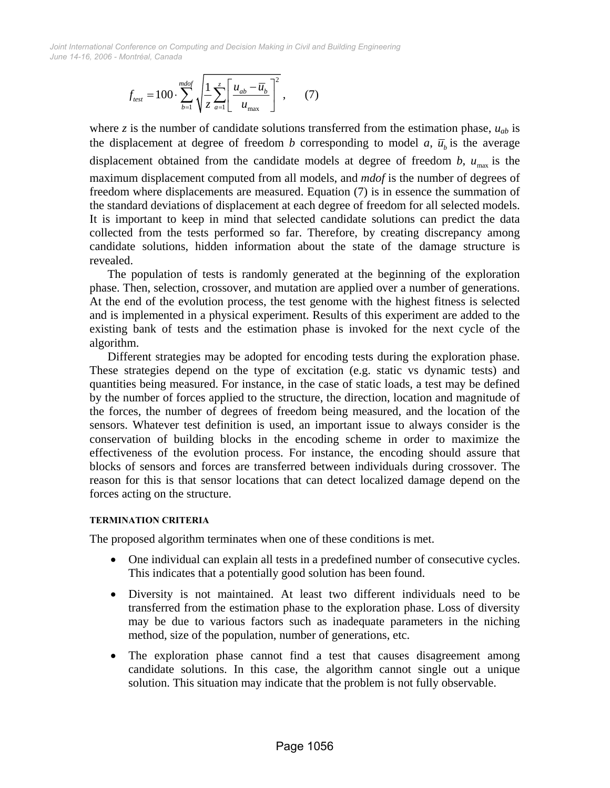$$
f_{\text{test}} = 100 \cdot \sum_{b=1}^{\text{mdof}} \sqrt{\frac{1}{z} \sum_{a=1}^{z} \left[ \frac{u_{ab} - \overline{u}_b}{u_{\text{max}}} \right]^2},\qquad(7)
$$

where *z* is the number of candidate solutions transferred from the estimation phase,  $u_{ab}$  is the displacement at degree of freedom *b* corresponding to model *a*,  $\overline{u}_h$  is the average displacement obtained from the candidate models at degree of freedom  $b$ ,  $u_{\text{max}}$  is the maximum displacement computed from all models, and *mdof* is the number of degrees of freedom where displacements are measured. Equation (7) is in essence the summation of the standard deviations of displacement at each degree of freedom for all selected models. It is important to keep in mind that selected candidate solutions can predict the data collected from the tests performed so far. Therefore, by creating discrepancy among candidate solutions, hidden information about the state of the damage structure is revealed.

The population of tests is randomly generated at the beginning of the exploration phase. Then, selection, crossover, and mutation are applied over a number of generations. At the end of the evolution process, the test genome with the highest fitness is selected and is implemented in a physical experiment. Results of this experiment are added to the existing bank of tests and the estimation phase is invoked for the next cycle of the algorithm.

Different strategies may be adopted for encoding tests during the exploration phase. These strategies depend on the type of excitation (e.g. static vs dynamic tests) and quantities being measured. For instance, in the case of static loads, a test may be defined by the number of forces applied to the structure, the direction, location and magnitude of the forces, the number of degrees of freedom being measured, and the location of the sensors. Whatever test definition is used, an important issue to always consider is the conservation of building blocks in the encoding scheme in order to maximize the effectiveness of the evolution process. For instance, the encoding should assure that blocks of sensors and forces are transferred between individuals during crossover. The reason for this is that sensor locations that can detect localized damage depend on the forces acting on the structure.

#### **TERMINATION CRITERIA**

The proposed algorithm terminates when one of these conditions is met.

- One individual can explain all tests in a predefined number of consecutive cycles. This indicates that a potentially good solution has been found.
- Diversity is not maintained. At least two different individuals need to be transferred from the estimation phase to the exploration phase. Loss of diversity may be due to various factors such as inadequate parameters in the niching method, size of the population, number of generations, etc.
- The exploration phase cannot find a test that causes disagreement among candidate solutions. In this case, the algorithm cannot single out a unique solution. This situation may indicate that the problem is not fully observable.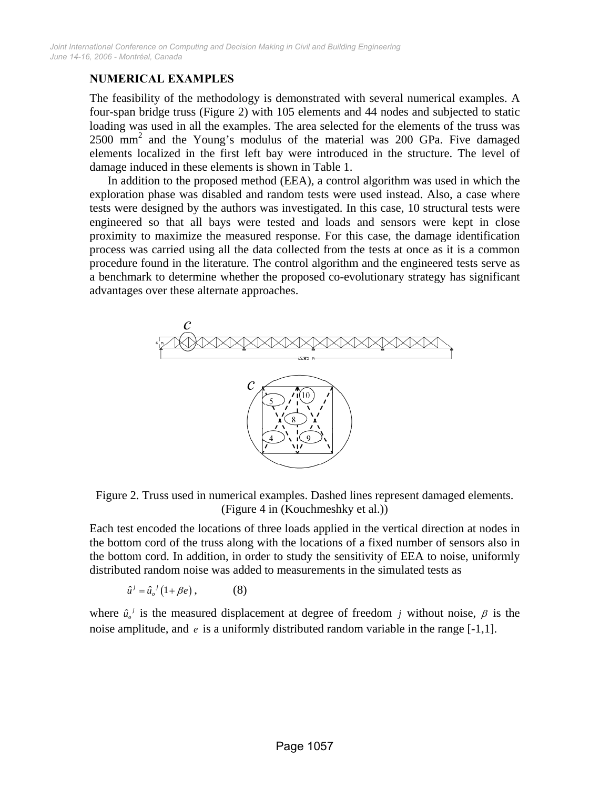# **NUMERICAL EXAMPLES**

The feasibility of the methodology is demonstrated with several numerical examples. A four-span bridge truss (Figure 2) with 105 elements and 44 nodes and subjected to static loading was used in all the examples. The area selected for the elements of the truss was  $2500$  mm<sup>2</sup> and the Young's modulus of the material was 200 GPa. Five damaged elements localized in the first left bay were introduced in the structure. The level of damage induced in these elements is shown in Table 1.

In addition to the proposed method (EEA), a control algorithm was used in which the exploration phase was disabled and random tests were used instead. Also, a case where tests were designed by the authors was investigated. In this case, 10 structural tests were engineered so that all bays were tested and loads and sensors were kept in close proximity to maximize the measured response. For this case, the damage identification process was carried using all the data collected from the tests at once as it is a common procedure found in the literature. The control algorithm and the engineered tests serve as a benchmark to determine whether the proposed co-evolutionary strategy has significant advantages over these alternate approaches.



Figure 2. Truss used in numerical examples. Dashed lines represent damaged elements. (Figure 4 in (Kouchmeshky et al.))

Each test encoded the locations of three loads applied in the vertical direction at nodes in the bottom cord of the truss along with the locations of a fixed number of sensors also in the bottom cord. In addition, in order to study the sensitivity of EEA to noise, uniformly distributed random noise was added to measurements in the simulated tests as

$$
\hat{u}^j = \hat{u}_o^j (1 + \beta e), \qquad (8)
$$

where  $\hat{u}_o^j$  is the measured displacement at degree of freedom *j* without noise,  $\beta$  is the noise amplitude, and *e* is a uniformly distributed random variable in the range [-1,1].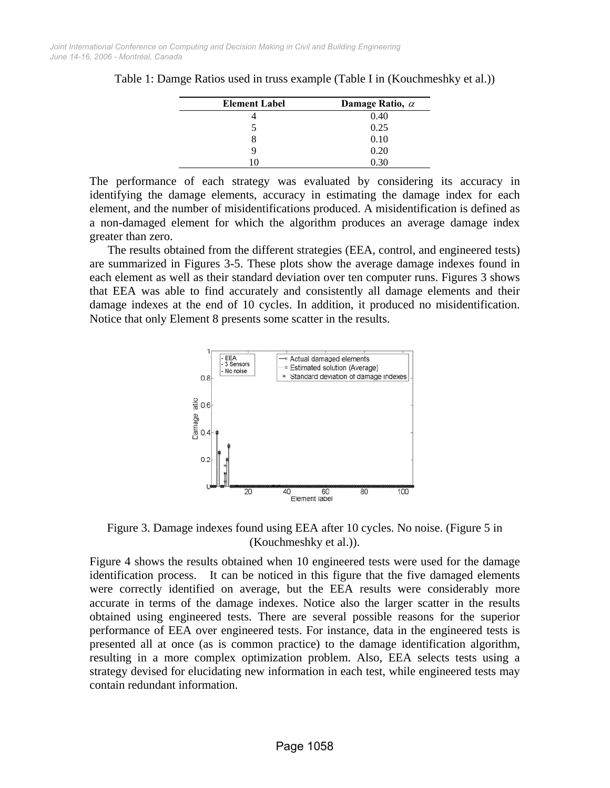| <b>Element Label</b> | Damage Ratio, $\alpha$ |
|----------------------|------------------------|
|                      | 0.40                   |
|                      | 0.25                   |
|                      | 0.10                   |
| Q                    | 0.20                   |
|                      |                        |

Table 1: Damge Ratios used in truss example (Table I in (Kouchmeshky et al.))

The performance of each strategy was evaluated by considering its accuracy in identifying the damage elements, accuracy in estimating the damage index for each element, and the number of misidentifications produced. A misidentification is defined as a non-damaged element for which the algorithm produces an average damage index greater than zero.

The results obtained from the different strategies (EEA, control, and engineered tests) are summarized in Figures 3-5. These plots show the average damage indexes found in each element as well as their standard deviation over ten computer runs. Figures 3 shows that EEA was able to find accurately and consistently all damage elements and their damage indexes at the end of 10 cycles. In addition, it produced no misidentification. Notice that only Element 8 presents some scatter in the results.



Figure 3. Damage indexes found using EEA after 10 cycles. No noise. (Figure 5 in (Kouchmeshky et al.)).

Figure 4 shows the results obtained when 10 engineered tests were used for the damage identification process. It can be noticed in this figure that the five damaged elements were correctly identified on average, but the EEA results were considerably more accurate in terms of the damage indexes. Notice also the larger scatter in the results obtained using engineered tests. There are several possible reasons for the superior performance of EEA over engineered tests. For instance, data in the engineered tests is presented all at once (as is common practice) to the damage identification algorithm, resulting in a more complex optimization problem. Also, EEA selects tests using a strategy devised for elucidating new information in each test, while engineered tests may contain redundant information.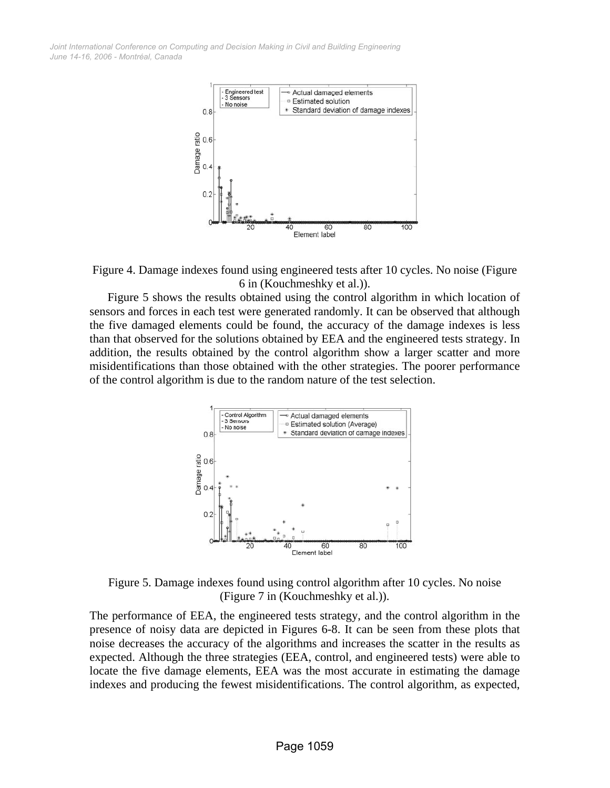



Figure 5 shows the results obtained using the control algorithm in which location of sensors and forces in each test were generated randomly. It can be observed that although the five damaged elements could be found, the accuracy of the damage indexes is less than that observed for the solutions obtained by EEA and the engineered tests strategy. In addition, the results obtained by the control algorithm show a larger scatter and more misidentifications than those obtained with the other strategies. The poorer performance of the control algorithm is due to the random nature of the test selection.



Figure 5. Damage indexes found using control algorithm after 10 cycles. No noise (Figure 7 in (Kouchmeshky et al.)).

The performance of EEA, the engineered tests strategy, and the control algorithm in the presence of noisy data are depicted in Figures 6-8. It can be seen from these plots that noise decreases the accuracy of the algorithms and increases the scatter in the results as expected. Although the three strategies (EEA, control, and engineered tests) were able to locate the five damage elements, EEA was the most accurate in estimating the damage indexes and producing the fewest misidentifications. The control algorithm, as expected,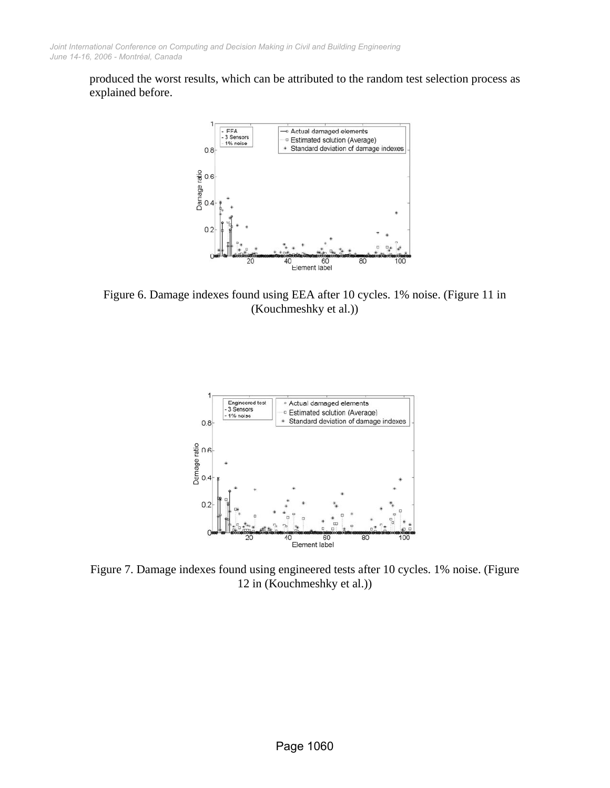produced the worst results, which can be attributed to the random test selection process as explained before.



Figure 6. Damage indexes found using EEA after 10 cycles. 1% noise. (Figure 11 in (Kouchmeshky et al.))



Figure 7. Damage indexes found using engineered tests after 10 cycles. 1% noise. (Figure 12 in (Kouchmeshky et al.))